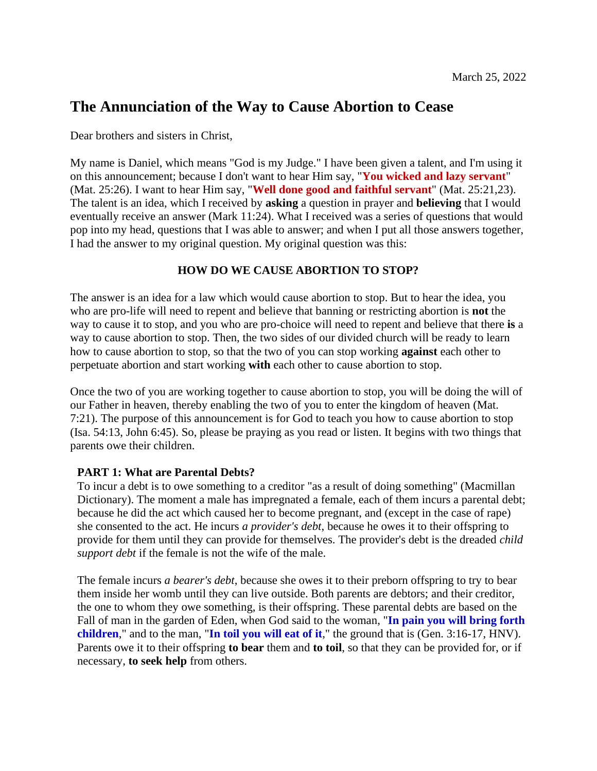# **The Annunciation of the Way to Cause Abortion to Cease**

Dear brothers and sisters in Christ,

My name is Daniel, which means "God is my Judge." I have been given a talent, and I'm using it on this announcement; because I don't want to hear Him say, "**You wicked and lazy servant**" (Mat. 25:26). I want to hear Him say, "**Well done good and faithful servant**" (Mat. 25:21,23). The talent is an idea, which I received by **asking** a question in prayer and **believing** that I would eventually receive an answer (Mark 11:24). What I received was a series of questions that would pop into my head, questions that I was able to answer; and when I put all those answers together, I had the answer to my original question. My original question was this:

# **HOW DO WE CAUSE ABORTION TO STOP?**

The answer is an idea for a law which would cause abortion to stop. But to hear the idea, you who are pro-life will need to repent and believe that banning or restricting abortion is **not** the way to cause it to stop, and you who are pro-choice will need to repent and believe that there **is** a way to cause abortion to stop. Then, the two sides of our divided church will be ready to learn how to cause abortion to stop, so that the two of you can stop working **against** each other to perpetuate abortion and start working **with** each other to cause abortion to stop.

Once the two of you are working together to cause abortion to stop, you will be doing the will of our Father in heaven, thereby enabling the two of you to enter the kingdom of heaven (Mat. 7:21). The purpose of this announcement is for God to teach you how to cause abortion to stop (Isa. 54:13, John 6:45). So, please be praying as you read or listen. It begins with two things that parents owe their children.

# **PART 1: What are Parental Debts?**

To incur a debt is to owe something to a creditor "as a result of doing something" (Macmillan Dictionary). The moment a male has impregnated a female, each of them incurs a parental debt; because he did the act which caused her to become pregnant, and (except in the case of rape) she consented to the act. He incurs *a provider's debt*, because he owes it to their offspring to provide for them until they can provide for themselves. The provider's debt is the dreaded *child support debt* if the female is not the wife of the male.

The female incurs *a bearer's debt*, because she owes it to their preborn offspring to try to bear them inside her womb until they can live outside. Both parents are debtors; and their creditor, the one to whom they owe something, is their offspring. These parental debts are based on the Fall of man in the garden of Eden, when God said to the woman, "**In pain you will bring forth children**," and to the man, "**In toil you will eat of it**," the ground that is (Gen. 3:16-17, HNV). Parents owe it to their offspring **to bear** them and **to toil**, so that they can be provided for, or if necessary, **to seek help** from others.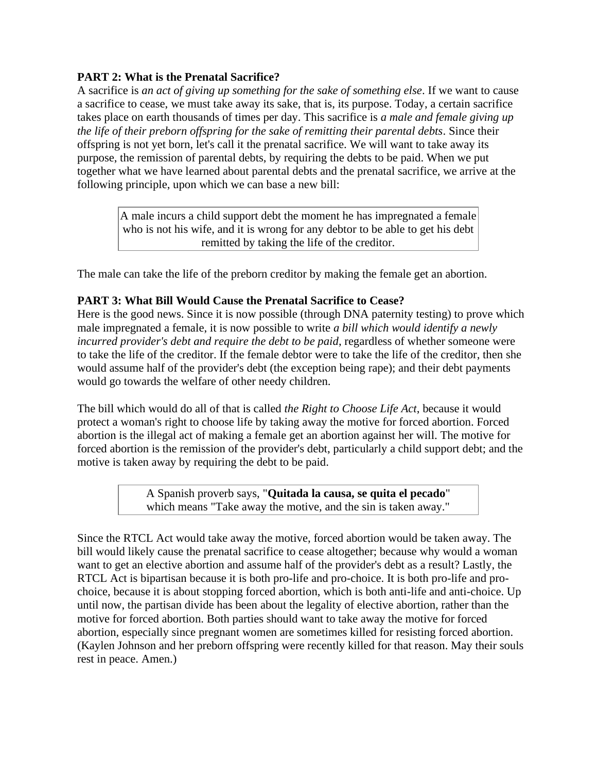## **PART 2: What is the Prenatal Sacrifice?**

A sacrifice is *an act of giving up something for the sake of something else*. If we want to cause a sacrifice to cease, we must take away its sake, that is, its purpose. Today, a certain sacrifice takes place on earth thousands of times per day. This sacrifice is *a male and female giving up the life of their preborn offspring for the sake of remitting their parental debts*. Since their offspring is not yet born, let's call it the prenatal sacrifice. We will want to take away its purpose, the remission of parental debts, by requiring the debts to be paid. When we put together what we have learned about parental debts and the prenatal sacrifice, we arrive at the following principle, upon which we can base a new bill:

> A male incurs a child support debt the moment he has impregnated a female who is not his wife, and it is wrong for any debtor to be able to get his debt remitted by taking the life of the creditor.

The male can take the life of the preborn creditor by making the female get an abortion.

### **PART 3: What Bill Would Cause the Prenatal Sacrifice to Cease?**

Here is the good news. Since it is now possible (through DNA paternity testing) to prove which male impregnated a female, it is now possible to write *a bill which would identify a newly incurred provider's debt and require the debt to be paid*, regardless of whether someone were to take the life of the creditor. If the female debtor were to take the life of the creditor, then she would assume half of the provider's debt (the exception being rape); and their debt payments would go towards the welfare of other needy children.

The bill which would do all of that is called *the Right to Choose Life Act*, because it would protect a woman's right to choose life by taking away the motive for forced abortion. Forced abortion is the illegal act of making a female get an abortion against her will. The motive for forced abortion is the remission of the provider's debt, particularly a child support debt; and the motive is taken away by requiring the debt to be paid.

> A Spanish proverb says, "**Quitada la causa, se quita el pecado**" which means "Take away the motive, and the sin is taken away."

Since the RTCL Act would take away the motive, forced abortion would be taken away. The bill would likely cause the prenatal sacrifice to cease altogether; because why would a woman want to get an elective abortion and assume half of the provider's debt as a result? Lastly, the RTCL Act is bipartisan because it is both pro-life and pro-choice. It is both pro-life and prochoice, because it is about stopping forced abortion, which is both anti-life and anti-choice. Up until now, the partisan divide has been about the legality of elective abortion, rather than the motive for forced abortion. Both parties should want to take away the motive for forced abortion, especially since pregnant women are sometimes killed for resisting forced abortion. (Kaylen Johnson and her preborn offspring were recently killed for that reason. May their souls rest in peace. Amen.)